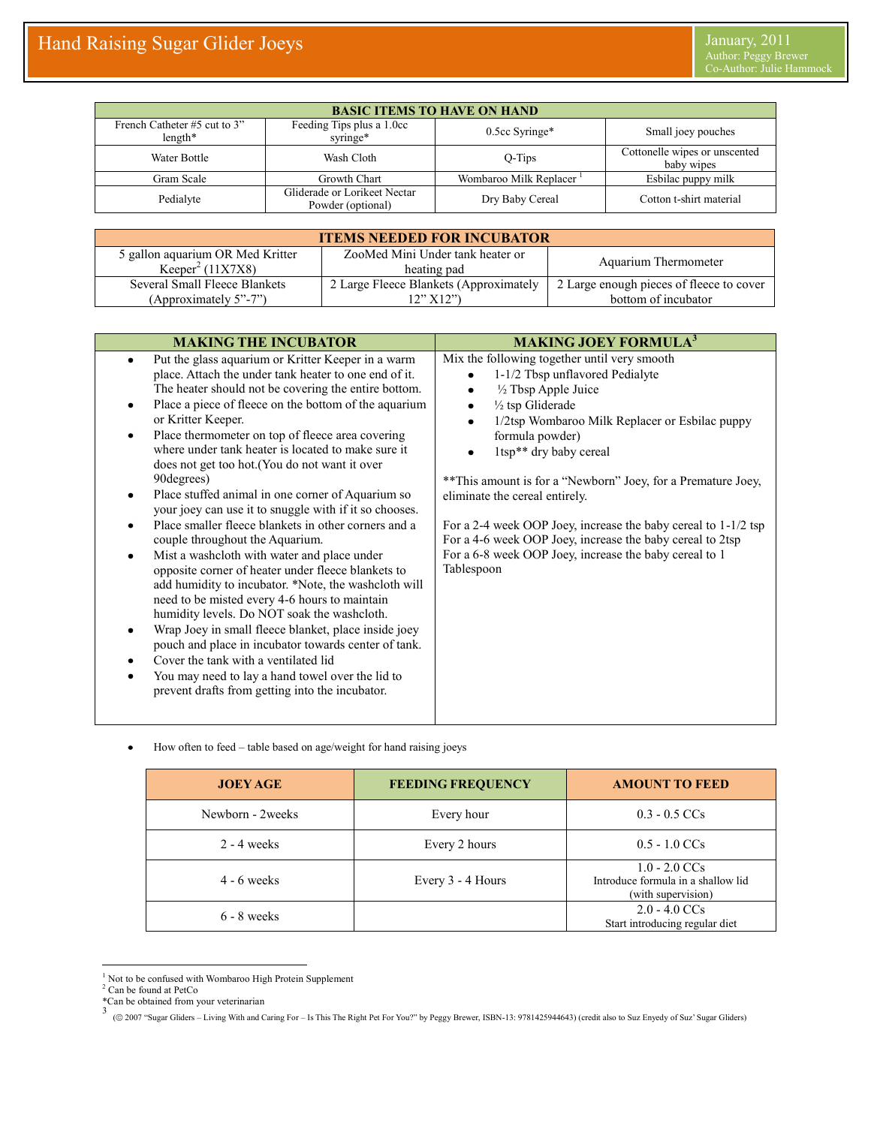| <b>BASIC ITEMS TO HAVE ON HAND</b>        |                                                   |                        |                                             |  |
|-------------------------------------------|---------------------------------------------------|------------------------|---------------------------------------------|--|
| French Catheter #5 cut to 3"<br>$length*$ | Feeding Tips plus a 1.0cc<br>syringe*             | 0.5cc Syringe*         | Small joey pouches                          |  |
| Water Bottle                              | Wash Cloth                                        | $O-Tips$               | Cottonelle wipes or unscented<br>baby wipes |  |
| Gram Scale                                | Growth Chart                                      | Wombaroo Milk Replacer | Esbilac puppy milk                          |  |
| Pedialyte                                 | Gliderade or Lorikeet Nectar<br>Powder (optional) | Dry Baby Cereal        | Cotton t-shirt material                     |  |

| <b>ITEMS NEEDED FOR INCUBATOR</b> |                                        |                                          |  |  |  |
|-----------------------------------|----------------------------------------|------------------------------------------|--|--|--|
| 5 gallon aquarium OR Med Kritter  | ZooMed Mini Under tank heater or       | Aquarium Thermometer                     |  |  |  |
| Keeper <sup>2</sup> (11X7X8)      | heating pad                            |                                          |  |  |  |
| Several Small Fleece Blankets     | 2 Large Fleece Blankets (Approximately | 2 Large enough pieces of fleece to cover |  |  |  |
| (Approximately 5"-7")             | 12" X12")                              | bottom of incubator                      |  |  |  |

| <b>MAKING THE INCUBATOR</b>                                                                                                                                                                                                                                                                                                                                                                                                                                                                                                                                                                                                                                                                                                                                                                                                                                                                                                                                                                                                                                                                                                                                                                   | <b>MAKING JOEY FORMULA</b> <sup>3</sup>                                                                                                                                                                                                                                                                                                                                                                                                                                                                                                                                                    |  |
|-----------------------------------------------------------------------------------------------------------------------------------------------------------------------------------------------------------------------------------------------------------------------------------------------------------------------------------------------------------------------------------------------------------------------------------------------------------------------------------------------------------------------------------------------------------------------------------------------------------------------------------------------------------------------------------------------------------------------------------------------------------------------------------------------------------------------------------------------------------------------------------------------------------------------------------------------------------------------------------------------------------------------------------------------------------------------------------------------------------------------------------------------------------------------------------------------|--------------------------------------------------------------------------------------------------------------------------------------------------------------------------------------------------------------------------------------------------------------------------------------------------------------------------------------------------------------------------------------------------------------------------------------------------------------------------------------------------------------------------------------------------------------------------------------------|--|
| Put the glass aquarium or Kritter Keeper in a warm<br>$\bullet$<br>place. Attach the under tank heater to one end of it.<br>The heater should not be covering the entire bottom.<br>Place a piece of fleece on the bottom of the aquarium<br>or Kritter Keeper.<br>Place thermometer on top of fleece area covering<br>where under tank heater is located to make sure it<br>does not get too hot. (You do not want it over<br>90 degrees)<br>Place stuffed animal in one corner of Aquarium so<br>your joey can use it to snuggle with if it so chooses.<br>Place smaller fleece blankets in other corners and a<br>couple throughout the Aquarium.<br>Mist a washcloth with water and place under<br>$\bullet$<br>opposite corner of heater under fleece blankets to<br>add humidity to incubator. *Note, the washcloth will<br>need to be misted every 4-6 hours to maintain<br>humidity levels. Do NOT soak the washcloth.<br>Wrap Joey in small fleece blanket, place inside joey<br>pouch and place in incubator towards center of tank.<br>Cover the tank with a ventilated lid<br>You may need to lay a hand towel over the lid to<br>prevent drafts from getting into the incubator. | Mix the following together until very smooth<br>1-1/2 Tbsp unflavored Pedialyte<br>1/2 Tbsp Apple Juice<br>٠<br>$\frac{1}{2}$ tsp Gliderade<br>$\bullet$<br>1/2tsp Wombaroo Milk Replacer or Esbilac puppy<br>$\bullet$<br>formula powder)<br>1tsp <sup>**</sup> dry baby cereal<br>** This amount is for a "Newborn" Joey, for a Premature Joey,<br>eliminate the cereal entirely.<br>For a 2-4 week OOP Joey, increase the baby cereal to 1-1/2 tsp<br>For a 4-6 week OOP Joey, increase the baby cereal to 2tsp<br>For a 6-8 week OOP Joey, increase the baby cereal to 1<br>Tablespoon |  |

 $\bullet$ How often to feed – table based on age/weight for hand raising joeys

| <b>JOEY AGE</b>  | <b>FEEDING FREQUENCY</b> | <b>AMOUNT TO FEED</b>                                                       |
|------------------|--------------------------|-----------------------------------------------------------------------------|
| Newborn - 2weeks | Every hour               | $0.3 - 0.5$ CCs                                                             |
| $2 - 4$ weeks    | Every 2 hours            | $0.5 - 1.0$ CCs                                                             |
| $4 - 6$ weeks    | Every 3 - 4 Hours        | $1.0 - 2.0$ CCs<br>Introduce formula in a shallow lid<br>(with supervision) |
| $6 - 8$ weeks    |                          | $2.0 - 4.0$ CCs<br>Start introducing regular diet                           |

 $\overline{a}$ <sup>1</sup> Not to be confused with Wombaroo High Protein Supplement

<sup>&</sup>lt;sup>2</sup> Can be found at PetCo

<sup>\*</sup>Can be obtained from your veterinarian<br>3<br>© 2007 "Sugar Gliders – Living With and Caring For – Is This The Right Pet For You?" by Peggy Brewer, ISBN-13: 9781425944643) (credit also to Suz Enyedy of Suz' Sugar Gliders)